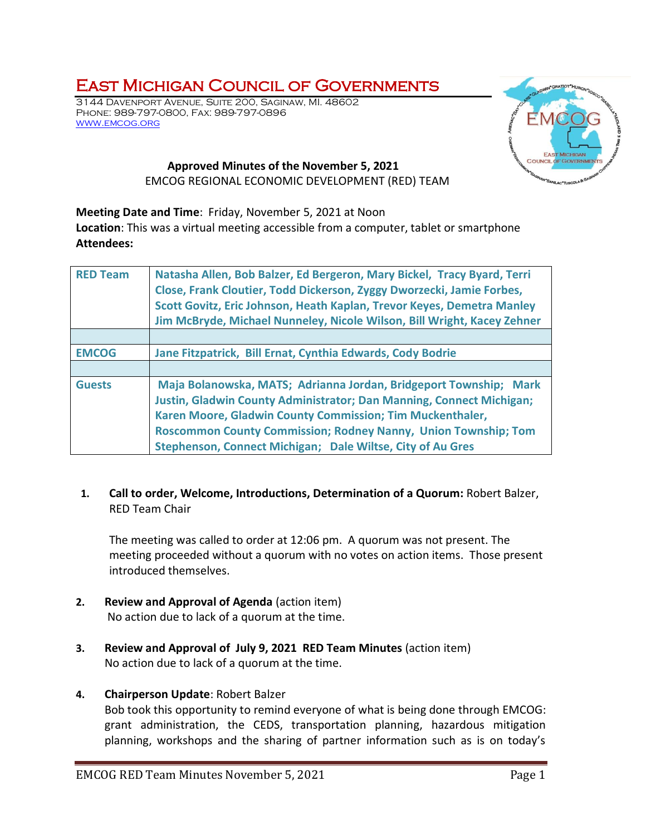## East Michigan Council of Governments

3144 Davenport Avenue, Suite 200, Saginaw, MI. 48602 Phone: 989-797-0800, Fax: 989-797-0896 [www.emcog.org](http://www.emcog.org/)



## **Approved Minutes of the November 5, 2021** EMCOG REGIONAL ECONOMIC DEVELOPMENT (RED) TEAM

**Meeting Date and Time**: Friday, November 5, 2021 at Noon

**Location**: This was a virtual meeting accessible from a computer, tablet or smartphone **Attendees:**

| <b>RED Team</b> | Natasha Allen, Bob Balzer, Ed Bergeron, Mary Bickel, Tracy Byard, Terri<br>Close, Frank Cloutier, Todd Dickerson, Zyggy Dworzecki, Jamie Forbes,<br>Scott Govitz, Eric Johnson, Heath Kaplan, Trevor Keyes, Demetra Manley<br>Jim McBryde, Michael Nunneley, Nicole Wilson, Bill Wright, Kacey Zehner                                                |  |  |
|-----------------|------------------------------------------------------------------------------------------------------------------------------------------------------------------------------------------------------------------------------------------------------------------------------------------------------------------------------------------------------|--|--|
|                 |                                                                                                                                                                                                                                                                                                                                                      |  |  |
| <b>EMCOG</b>    | Jane Fitzpatrick, Bill Ernat, Cynthia Edwards, Cody Bodrie                                                                                                                                                                                                                                                                                           |  |  |
|                 |                                                                                                                                                                                                                                                                                                                                                      |  |  |
| <b>Guests</b>   | Maja Bolanowska, MATS; Adrianna Jordan, Bridgeport Township; Mark<br><b>Justin, Gladwin County Administrator; Dan Manning, Connect Michigan;</b><br>Karen Moore, Gladwin County Commission; Tim Muckenthaler,<br><b>Roscommon County Commission; Rodney Nanny, Union Township; Tom</b><br>Stephenson, Connect Michigan; Dale Wiltse, City of Au Gres |  |  |

## **1. Call to order, Welcome, Introductions, Determination of a Quorum:** Robert Balzer, RED Team Chair

The meeting was called to order at 12:06 pm. A quorum was not present. The meeting proceeded without a quorum with no votes on action items. Those present introduced themselves.

- **2. Review and Approval of Agenda** (action item) No action due to lack of a quorum at the time.
- **3. Review and Approval of July 9, 2021 RED Team Minutes** (action item) No action due to lack of a quorum at the time.

## **4. Chairperson Update**: Robert Balzer

Bob took this opportunity to remind everyone of what is being done through EMCOG: grant administration, the CEDS, transportation planning, hazardous mitigation planning, workshops and the sharing of partner information such as is on today's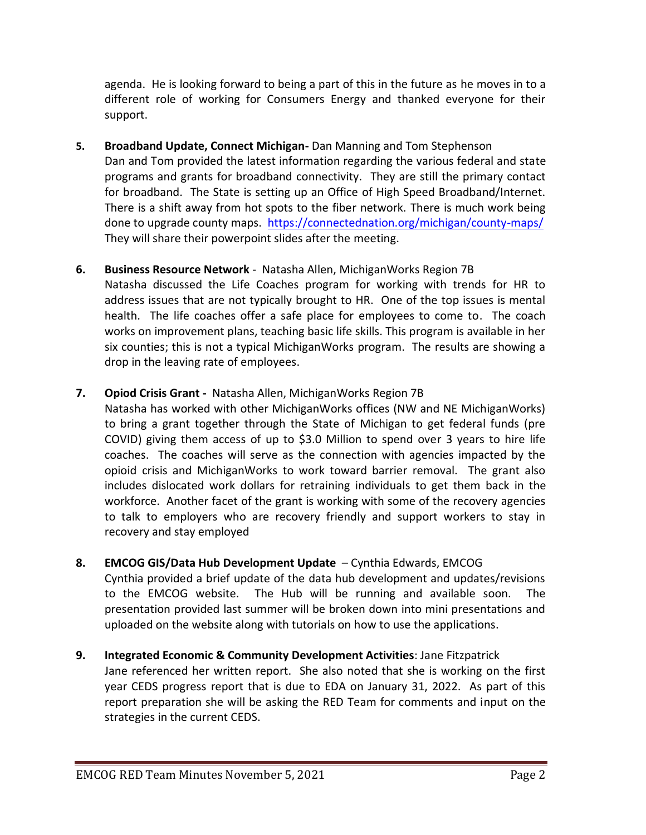agenda. He is looking forward to being a part of this in the future as he moves in to a different role of working for Consumers Energy and thanked everyone for their support.

**5. Broadband Update, Connect Michigan-** Dan Manning and Tom Stephenson Dan and Tom provided the latest information regarding the various federal and state programs and grants for broadband connectivity. They are still the primary contact for broadband. The State is setting up an Office of High Speed Broadband/Internet. There is a shift away from hot spots to the fiber network. There is much work being done to upgrade county maps. <https://connectednation.org/michigan/county-maps/> They will share their powerpoint slides after the meeting.

## **6. Business Resource Network** - Natasha Allen, MichiganWorks Region 7B

Natasha discussed the Life Coaches program for working with trends for HR to address issues that are not typically brought to HR. One of the top issues is mental health. The life coaches offer a safe place for employees to come to. The coach works on improvement plans, teaching basic life skills. This program is available in her six counties; this is not a typical MichiganWorks program. The results are showing a drop in the leaving rate of employees.

## **7. Opiod Crisis Grant -** Natasha Allen, MichiganWorks Region 7B

Natasha has worked with other MichiganWorks offices (NW and NE MichiganWorks) to bring a grant together through the State of Michigan to get federal funds (pre COVID) giving them access of up to \$3.0 Million to spend over 3 years to hire life coaches. The coaches will serve as the connection with agencies impacted by the opioid crisis and MichiganWorks to work toward barrier removal. The grant also includes dislocated work dollars for retraining individuals to get them back in the workforce. Another facet of the grant is working with some of the recovery agencies to talk to employers who are recovery friendly and support workers to stay in recovery and stay employed

## **8. EMCOG GIS/Data Hub Development Update** – Cynthia Edwards, EMCOG

Cynthia provided a brief update of the data hub development and updates/revisions to the EMCOG website. The Hub will be running and available soon. The presentation provided last summer will be broken down into mini presentations and uploaded on the website along with tutorials on how to use the applications.

**9. Integrated Economic & Community Development Activities**: Jane Fitzpatrick Jane referenced her written report. She also noted that she is working on the first year CEDS progress report that is due to EDA on January 31, 2022. As part of this report preparation she will be asking the RED Team for comments and input on the strategies in the current CEDS.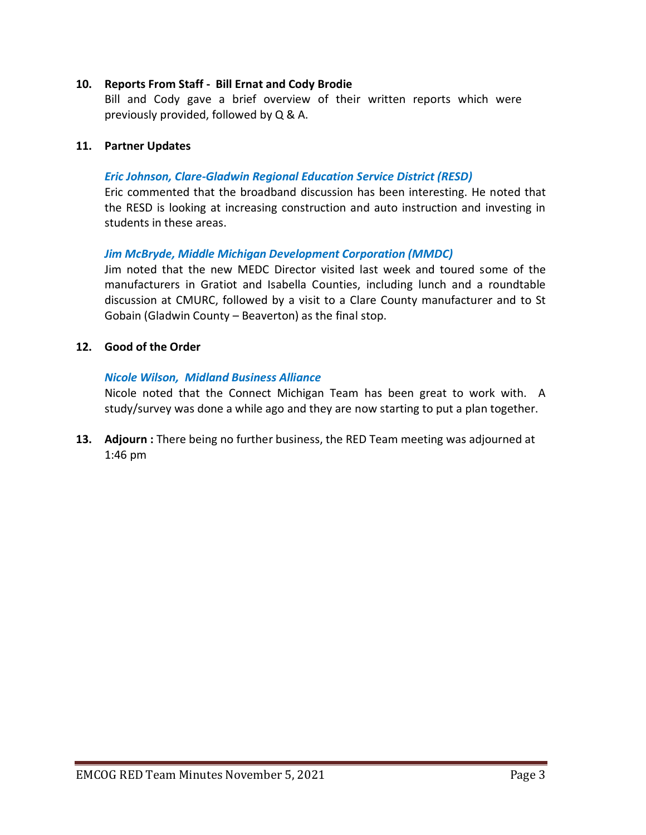#### **10. Reports From Staff - Bill Ernat and Cody Brodie**

Bill and Cody gave a brief overview of their written reports which were previously provided, followed by Q & A.

#### **11. Partner Updates**

#### *Eric Johnson, Clare-Gladwin Regional Education Service District (RESD)*

Eric commented that the broadband discussion has been interesting. He noted that the RESD is looking at increasing construction and auto instruction and investing in students in these areas.

#### *Jim McBryde, Middle Michigan Development Corporation (MMDC)*

Jim noted that the new MEDC Director visited last week and toured some of the manufacturers in Gratiot and Isabella Counties, including lunch and a roundtable discussion at CMURC, followed by a visit to a Clare County manufacturer and to St Gobain (Gladwin County – Beaverton) as the final stop.

#### **12. Good of the Order**

#### *Nicole Wilson, Midland Business Alliance*

Nicole noted that the Connect Michigan Team has been great to work with. A study/survey was done a while ago and they are now starting to put a plan together.

**13. Adjourn :** There being no further business, the RED Team meeting was adjourned at 1:46 pm